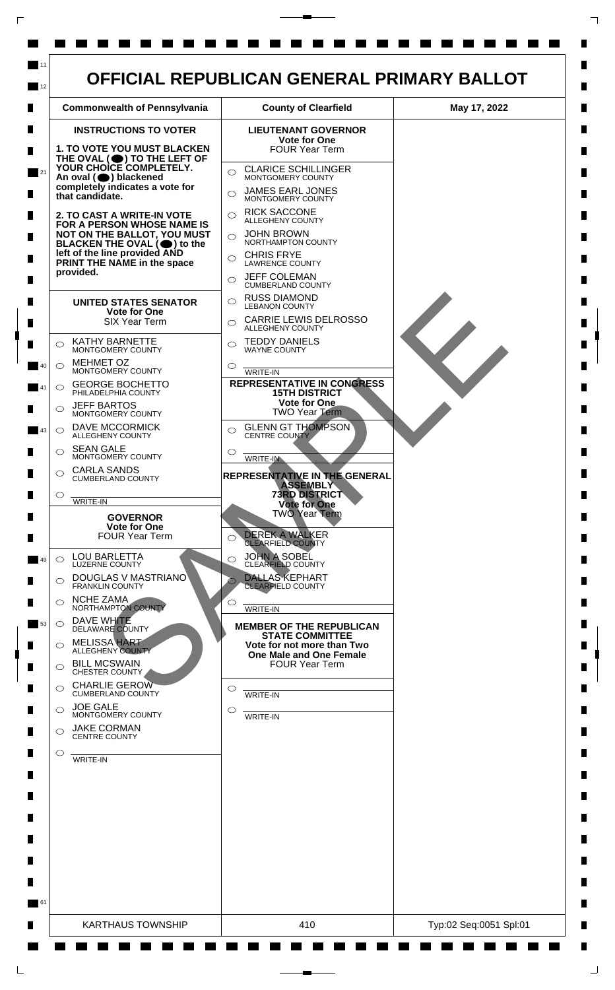

 $\mathsf{L}$ 

 $\Box$